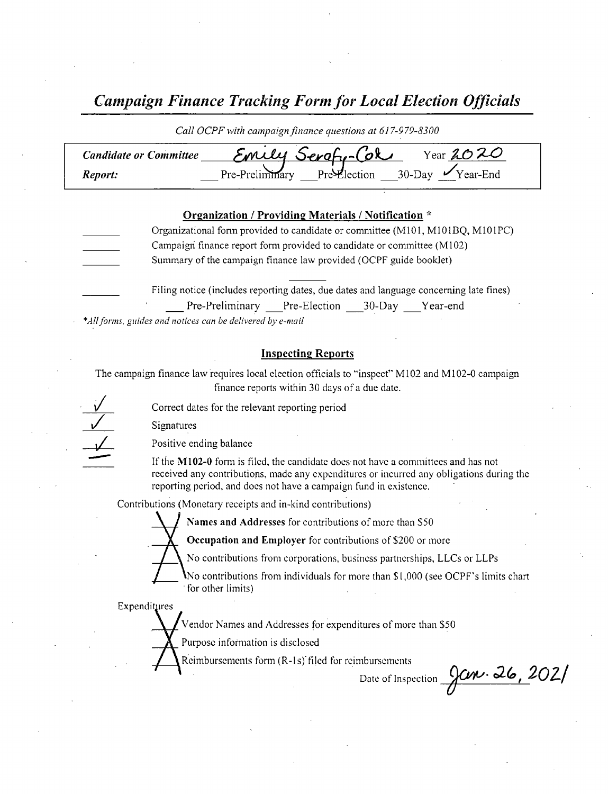Campaign Finance Tracking Form for Local Election Officials

| Call OCPF with campaign finance questions at 617-979-8300 |                  |                                              |  |
|-----------------------------------------------------------|------------------|----------------------------------------------|--|
| <b>Candidate or Committee</b>                             | Emily Serafy-Col | Year $2020$                                  |  |
| Report:                                                   |                  | Pre-Preliminary Pre-Election 30-Day Year-End |  |

#### Organization / Providing Materials / Notification \*

- Organizational form provided to candidate or committee (M101, M101BO, M101PC) Campaign finance report form provided to candidate or committee ( M102) Summary of the campaign finance law provided( OCPF guide booklet)
	- Filing notice (includes reporting dates, due dates and language concerning late fines) Pre-Preliminary Pre-Election 30-Day Year-end

\*All forms, guides and notices can be delivered by e-mail

#### Inspecting Reports

The campaign finance law requires local election officials to "inspect" M102 and M102-0 campaign finance reports within 30 days of <sup>a</sup> due date.

Correct dates for the relevant reporting period

Signatures



Positive ending balance

If the M102-0 form is filed, the candidate does not have a committees and has not received any contributions, made any expenditures or incurred any obligations during the reporting period, and does not have a campaign fund in existence.

Contributions ( Monetary receipts and in- kind contributions)

Names and Addresses for contributions of more than S50



Occupation and Employer for contributions of \$200 or more

No contributions from corporations, business partnerships, LLCs or LLPs

No contributions from individuals for more than \$ 1, 000 ( see OCPF' <sup>s</sup> limits chart for other limits)

Expenditures

Vendor Names and Addresses for expenditures of more than \$50

Purpose information is disclosed

Reimbursements form (R-1s) filed for reimbursements

Date of Inspection  $Q$ CM  $\cdot$  26, 202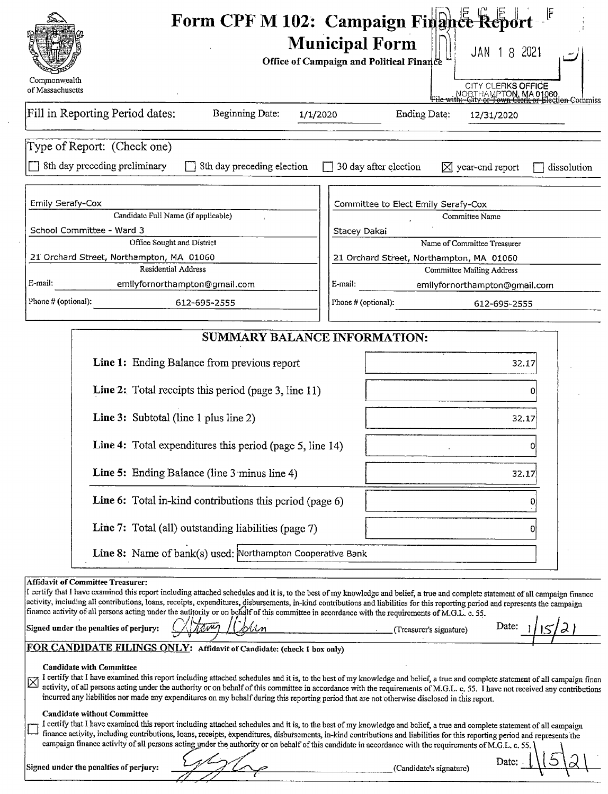|                                                                                                                                                                                                                                                                                                                                                                                                                                                                                                                                                                                                                                                                                                           | Form CPF M 102: Campaign Finance Report<br><b>Municipal Form</b><br>$JAN$ 18<br>2021<br>Office of Campaign and Political Finance                                                                                                                                                                                                                                |  |  |  |
|-----------------------------------------------------------------------------------------------------------------------------------------------------------------------------------------------------------------------------------------------------------------------------------------------------------------------------------------------------------------------------------------------------------------------------------------------------------------------------------------------------------------------------------------------------------------------------------------------------------------------------------------------------------------------------------------------------------|-----------------------------------------------------------------------------------------------------------------------------------------------------------------------------------------------------------------------------------------------------------------------------------------------------------------------------------------------------------------|--|--|--|
| Commonwealth<br>of Massachusetts                                                                                                                                                                                                                                                                                                                                                                                                                                                                                                                                                                                                                                                                          | CITY CLERKS OFFICE<br>NORTHAMPTO <b>N, MA 01060</b>  <br>File with:~Gity or Town Clerk or Election Commiss                                                                                                                                                                                                                                                      |  |  |  |
| Fill in Reporting Period dates:<br>Beginning Date:                                                                                                                                                                                                                                                                                                                                                                                                                                                                                                                                                                                                                                                        | <b>Ending Date:</b><br>1/1/2020<br>12/31/2020                                                                                                                                                                                                                                                                                                                   |  |  |  |
| Type of Report: (Check one)<br>8th day preceding preliminary<br>8th day preceding election                                                                                                                                                                                                                                                                                                                                                                                                                                                                                                                                                                                                                | 30 day after election<br>$\times$ year-end report<br>dissolution                                                                                                                                                                                                                                                                                                |  |  |  |
| Emily Serafy-Cox<br>Candidate Full Name (if applicable)<br>School Committee - Ward 3<br>Office Sought and District                                                                                                                                                                                                                                                                                                                                                                                                                                                                                                                                                                                        | Committee to Elect Emily Serafy-Cox<br>Committee Name<br>Stacey Dakai                                                                                                                                                                                                                                                                                           |  |  |  |
| 21 Orchard Street, Northampton, MA 01060<br>Residential Address                                                                                                                                                                                                                                                                                                                                                                                                                                                                                                                                                                                                                                           | Name of Committee Treasurer<br>21 Orchard Street, Northampton, MA 01060<br><b>Committee Mailing Address</b>                                                                                                                                                                                                                                                     |  |  |  |
| E-mail:<br>emilyfornorthampton@gmail.com                                                                                                                                                                                                                                                                                                                                                                                                                                                                                                                                                                                                                                                                  | E-mail:<br>emilyfornorthampton@gmail.com                                                                                                                                                                                                                                                                                                                        |  |  |  |
| Phone # (optional):<br>612-695-2555                                                                                                                                                                                                                                                                                                                                                                                                                                                                                                                                                                                                                                                                       | Phone # (optional):<br>612-695-2555                                                                                                                                                                                                                                                                                                                             |  |  |  |
| <b>SUMMARY BALANCE INFORMATION:</b>                                                                                                                                                                                                                                                                                                                                                                                                                                                                                                                                                                                                                                                                       |                                                                                                                                                                                                                                                                                                                                                                 |  |  |  |
| Line 1: Ending Balance from previous report                                                                                                                                                                                                                                                                                                                                                                                                                                                                                                                                                                                                                                                               | 32.17                                                                                                                                                                                                                                                                                                                                                           |  |  |  |
| Line 2: Total receipts this period (page 3, line 11)                                                                                                                                                                                                                                                                                                                                                                                                                                                                                                                                                                                                                                                      |                                                                                                                                                                                                                                                                                                                                                                 |  |  |  |
| Line 3: Subtotal (line 1 plus line 2)                                                                                                                                                                                                                                                                                                                                                                                                                                                                                                                                                                                                                                                                     | 32.17                                                                                                                                                                                                                                                                                                                                                           |  |  |  |
| Line 4: Total expenditures this period (page 5, line 14)                                                                                                                                                                                                                                                                                                                                                                                                                                                                                                                                                                                                                                                  |                                                                                                                                                                                                                                                                                                                                                                 |  |  |  |
| Line 5: Ending Balance (line 3 minus line 4)                                                                                                                                                                                                                                                                                                                                                                                                                                                                                                                                                                                                                                                              | 32.17                                                                                                                                                                                                                                                                                                                                                           |  |  |  |
| Line 6: Total in-kind contributions this period (page 6)                                                                                                                                                                                                                                                                                                                                                                                                                                                                                                                                                                                                                                                  |                                                                                                                                                                                                                                                                                                                                                                 |  |  |  |
| Line 7: Total (all) outstanding liabilities (page 7)<br>Line 8: Name of bank(s) used: Northampton Cooperative Bank                                                                                                                                                                                                                                                                                                                                                                                                                                                                                                                                                                                        |                                                                                                                                                                                                                                                                                                                                                                 |  |  |  |
|                                                                                                                                                                                                                                                                                                                                                                                                                                                                                                                                                                                                                                                                                                           |                                                                                                                                                                                                                                                                                                                                                                 |  |  |  |
| <b>Affidavit of Committee Treasurer:</b><br>I certify that I have examined this report including attached schedules and it is, to the best of my knowledge and belief, a true and complete statement of all campaign finance<br>activity, including all contributions, loans, receipts, expenditures, disbursements, in-kind contributions and liabilities for this reporting period and represents the campaign<br>finance activity of all persons acting under the authority or on behalf of this committee in accordance with the requirements of M.G.L. c. 55.<br>Traving<br>Date:<br>Signed under the penalties of perjury:<br><b>Contract Contract Contract Contract</b><br>(Treasurer's signature) |                                                                                                                                                                                                                                                                                                                                                                 |  |  |  |
| FOR CANDIDATE FILINGS ONLY: Affidavit of Candidate: (check 1 box only)                                                                                                                                                                                                                                                                                                                                                                                                                                                                                                                                                                                                                                    |                                                                                                                                                                                                                                                                                                                                                                 |  |  |  |
| <b>Candidate with Committee</b><br>$\boxtimes$<br>incurred any liabilities nor made any expenditures on my behalf during this reporting period that are not otherwise disclosed in this report.                                                                                                                                                                                                                                                                                                                                                                                                                                                                                                           | I certify that I have examined this report including attached schedules and it is, to the best of my knowledge and belief, a true and complete statement of all campaign finan<br>activity, of all persons acting under the authority or on behalf of this committee in accordance with the requirements of M.G.L. c. 55. I have not received any contributions |  |  |  |
| <b>Candidate without Committee</b><br>I certify that I have examined this report including attached schedules and it is, to the best of my knowledge and belief, a true and complete statement of all campaign<br>finance activity, including contributions, loans, receipts, expenditures, disbursements, in-kind contributions and liabilities for this reporting period and represents the<br>campaign finance activity of all persons acting under the authority or on behalf of this candidate in accordance with the requirements of M.G.L. c. 55.                                                                                                                                                  |                                                                                                                                                                                                                                                                                                                                                                 |  |  |  |
| Signed under the penalties of perjury:                                                                                                                                                                                                                                                                                                                                                                                                                                                                                                                                                                                                                                                                    | Date:<br>(Candidate's signature)                                                                                                                                                                                                                                                                                                                                |  |  |  |

 $\hat{\mathcal{A}}$ 

 $\mathcal{L}_{\mathcal{A}}$ 

Date:  $\cup$   $(5)$   $\alpha$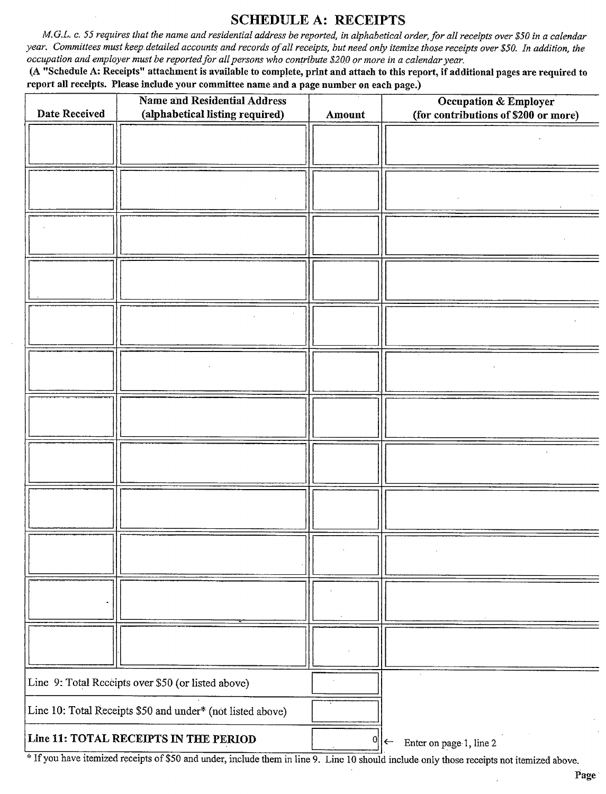## SCHEDULE A: RECEIPTS

M.G.L. c. 55 requires that the name and residential address be reported, in alphabetical order, for all receipts over \$50 in a calendar year. Committees must keep detailed accounts and records of all receipts, but need only itemize those receipts over \$50. In addition, the occupation and employer must be reported for all persons who contribute \$200 or more in a calendar year.

A " Schedule A: Receipts" attachment is available to complete, print and attach to this report, if additional pages are required to report all receipts. Please include your committee name and a page number on each page.)

| <b>Date Received</b> | <b>Name and Residential Address</b><br>(alphabetical listing required) | Amount | Occupation & Employer<br>(for contributions of \$200 or more) |
|----------------------|------------------------------------------------------------------------|--------|---------------------------------------------------------------|
|                      |                                                                        |        |                                                               |
|                      |                                                                        |        |                                                               |
|                      |                                                                        |        |                                                               |
|                      |                                                                        |        |                                                               |
|                      |                                                                        |        |                                                               |
|                      |                                                                        |        |                                                               |
|                      |                                                                        |        |                                                               |
|                      |                                                                        |        |                                                               |
|                      |                                                                        |        |                                                               |
|                      |                                                                        |        |                                                               |
|                      |                                                                        |        |                                                               |
|                      |                                                                        |        |                                                               |
|                      | Line 9: Total Receipts over \$50 (or listed above)                     |        |                                                               |
|                      | Line 10: Total Receipts \$50 and under* (not listed above)             |        |                                                               |
|                      | Line 11: TOTAL RECEIPTS IN THE PERIOD                                  | 0      | Enter on page 1, line 2<br>$\mapsto$                          |

If you have itemized receipts of\$50 and under, include them in line 9. Line <sup>10</sup> should include only those receipts not itemized above.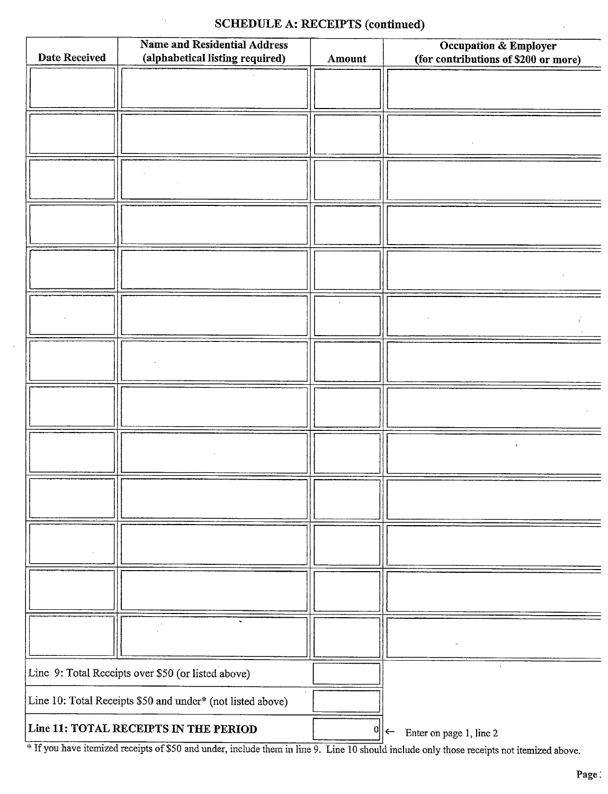# SCHEDULE A: RECEIPTS (continued)

| <b>Date Received</b> | <b>Name and Residential Address</b><br>(alphabetical listing required)   | Amount | Occupation & Employer<br>(for contributions of \$200 or more) |
|----------------------|--------------------------------------------------------------------------|--------|---------------------------------------------------------------|
|                      |                                                                          |        |                                                               |
|                      |                                                                          |        |                                                               |
|                      |                                                                          |        |                                                               |
|                      |                                                                          |        |                                                               |
|                      |                                                                          |        |                                                               |
|                      |                                                                          |        |                                                               |
|                      |                                                                          |        |                                                               |
|                      |                                                                          |        |                                                               |
|                      |                                                                          |        |                                                               |
|                      |                                                                          |        |                                                               |
|                      |                                                                          |        |                                                               |
|                      |                                                                          |        |                                                               |
|                      |                                                                          |        |                                                               |
|                      |                                                                          |        |                                                               |
|                      |                                                                          |        |                                                               |
|                      |                                                                          |        |                                                               |
|                      |                                                                          |        |                                                               |
|                      |                                                                          |        |                                                               |
|                      |                                                                          |        |                                                               |
|                      |                                                                          |        |                                                               |
|                      |                                                                          |        |                                                               |
|                      |                                                                          |        |                                                               |
|                      |                                                                          |        |                                                               |
|                      |                                                                          |        |                                                               |
|                      |                                                                          |        |                                                               |
|                      |                                                                          |        |                                                               |
|                      | Line 9: Total Receipts over \$50 (or listed above)                       |        |                                                               |
|                      | $\epsilon$<br>Line 10: Total Receipts \$50 and under* (not listed above) |        |                                                               |
|                      | Line 11: TOTAL RECEIPTS IN THE PERIOD                                    |        | $ 0  \rightarrow$<br>Enter on page 1, line 2                  |

If you have itemized receipts of\$50 and under, include them in line 9. Line <sup>10</sup> should include only those receipts not itemized above.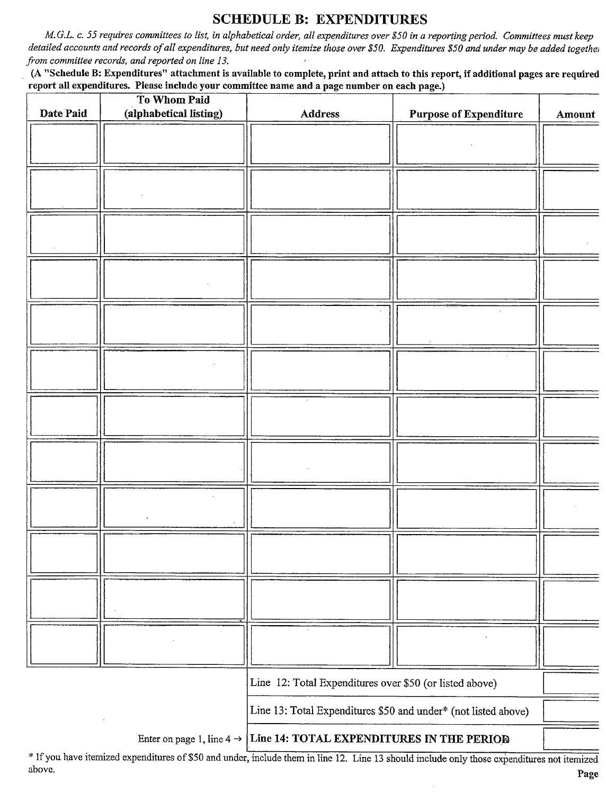#### SCHEDULE B: EXPENDITURES

M.G.L. c. 55 requires committees to list, in alphabetical order, all expenditures over \$50 in a reporting period. Committees must keep detailed accounts and records of all expenditures, but need only itemize those over \$50. Expenditures \$50 and under may be added together from committee records, and reported on line 13.

A" Schedule B: Expenditures" attachment is available to complete, print and attach to this report, if additional pages are required report all expenditures. Please include your committee name and a page number on each page.)

|           | To Whom Paid           |                                                                                 |                               |        |
|-----------|------------------------|---------------------------------------------------------------------------------|-------------------------------|--------|
| Date Paid | (alphabetical listing) | Address                                                                         | <b>Purpose of Expenditure</b> | Amount |
|           |                        |                                                                                 |                               |        |
|           |                        |                                                                                 |                               |        |
|           |                        |                                                                                 |                               |        |
|           |                        |                                                                                 |                               |        |
|           |                        |                                                                                 |                               |        |
|           |                        |                                                                                 |                               |        |
|           |                        |                                                                                 |                               |        |
|           |                        |                                                                                 |                               |        |
|           |                        |                                                                                 |                               |        |
|           |                        |                                                                                 |                               |        |
|           |                        |                                                                                 |                               |        |
|           |                        |                                                                                 |                               |        |
|           |                        |                                                                                 |                               |        |
|           |                        |                                                                                 |                               |        |
|           |                        |                                                                                 |                               |        |
|           |                        |                                                                                 |                               |        |
|           |                        |                                                                                 |                               |        |
|           |                        |                                                                                 |                               |        |
|           |                        |                                                                                 |                               |        |
|           |                        |                                                                                 |                               |        |
|           |                        |                                                                                 |                               |        |
|           |                        |                                                                                 |                               |        |
|           |                        |                                                                                 |                               |        |
|           |                        |                                                                                 |                               |        |
|           |                        |                                                                                 |                               |        |
|           |                        |                                                                                 |                               |        |
|           |                        |                                                                                 |                               |        |
|           |                        |                                                                                 |                               |        |
|           |                        |                                                                                 |                               |        |
|           |                        |                                                                                 |                               |        |
|           |                        |                                                                                 |                               |        |
|           |                        |                                                                                 |                               |        |
|           |                        |                                                                                 |                               |        |
|           |                        |                                                                                 |                               |        |
|           |                        |                                                                                 |                               |        |
|           |                        | Line 12: Total Expenditures over \$50 (or listed above)                         |                               |        |
|           |                        | Line 13: Total Expenditures \$50 and under* (not listed above)                  |                               |        |
|           |                        | Enter on page 1, line $4 \rightarrow$ Line 14: TOTAL EXPENDITURES IN THE PERIOD |                               |        |

<sup>\*</sup> If you have itemized expenditures of \$50 and under, include them in line 12. Line 13 should include only those expenditures not itemized above. above. Page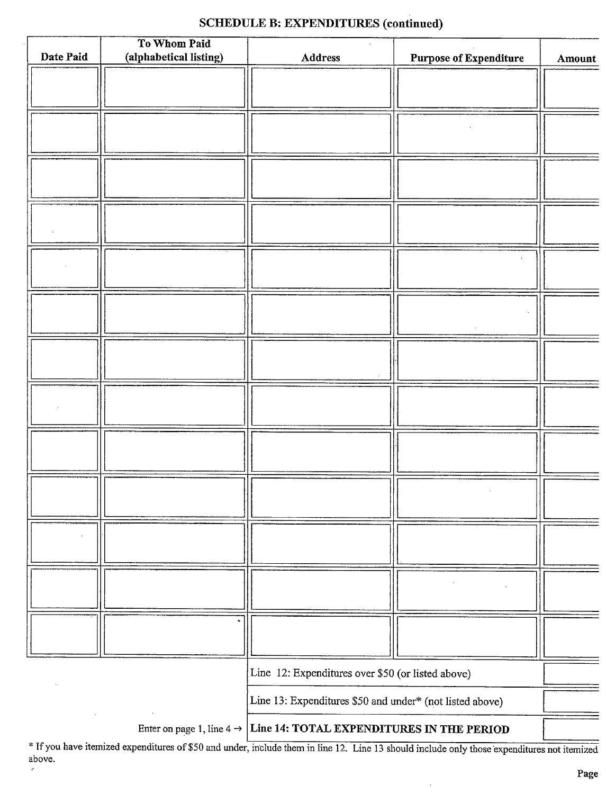#### SCHEDULE B: EXPENDITURES (continued)

| Date Paid | To Whom Paid<br>(alphabetical listing) | Address                                                                         | <b>Purpose of Expenditure</b> | Amount |
|-----------|----------------------------------------|---------------------------------------------------------------------------------|-------------------------------|--------|
|           |                                        |                                                                                 |                               |        |
|           |                                        |                                                                                 |                               |        |
|           |                                        |                                                                                 |                               |        |
|           |                                        |                                                                                 |                               |        |
|           |                                        |                                                                                 |                               |        |
|           |                                        |                                                                                 |                               |        |
|           |                                        |                                                                                 |                               |        |
|           |                                        |                                                                                 |                               |        |
|           |                                        |                                                                                 |                               |        |
|           |                                        |                                                                                 |                               |        |
|           |                                        |                                                                                 |                               |        |
|           |                                        |                                                                                 |                               |        |
|           |                                        |                                                                                 |                               |        |
|           |                                        |                                                                                 |                               |        |
|           |                                        |                                                                                 |                               |        |
|           |                                        |                                                                                 |                               |        |
|           |                                        |                                                                                 |                               |        |
|           |                                        |                                                                                 |                               |        |
|           |                                        |                                                                                 |                               |        |
|           |                                        |                                                                                 |                               |        |
|           |                                        |                                                                                 |                               |        |
|           |                                        |                                                                                 |                               |        |
|           |                                        |                                                                                 |                               |        |
|           |                                        |                                                                                 |                               |        |
|           |                                        |                                                                                 |                               |        |
|           |                                        |                                                                                 |                               |        |
|           |                                        |                                                                                 |                               |        |
|           |                                        |                                                                                 |                               |        |
|           |                                        |                                                                                 |                               |        |
|           |                                        | Line 12: Expenditures over \$50 (or listed above)                               |                               |        |
|           |                                        | Line 13: Expenditures \$50 and under* (not listed above)                        |                               |        |
|           |                                        |                                                                                 |                               |        |
|           |                                        | Enter on page 1, line $4 \rightarrow$ Line 14: TOTAL EXPENDITURES IN THE PERIOD |                               |        |

If you have itemized expenditures of \$50 and under, include them in line 12. Line 13 should include only those expenditures not itemized above.  $\hat{\mathbf{r}}$ 

 $\hat{\boldsymbol{\epsilon}}$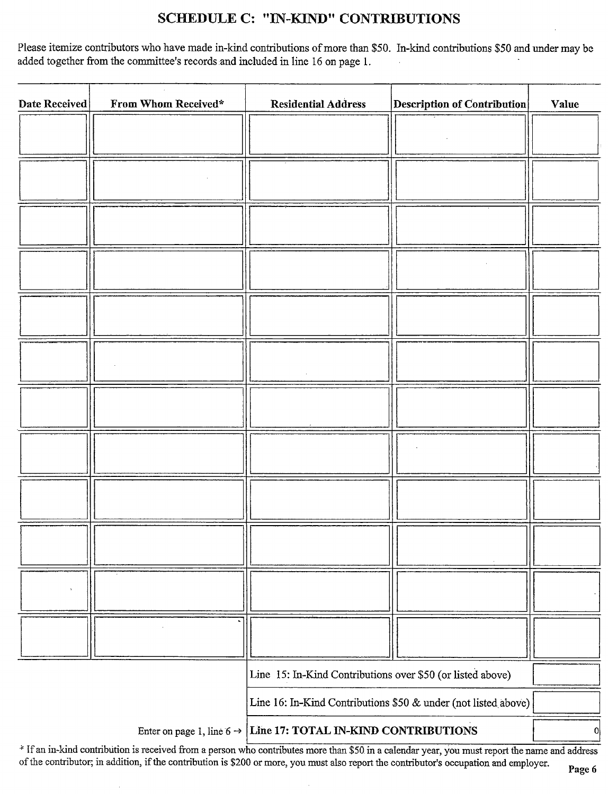### SCHEDULE C: " IN-KIND" CONTRIBUTIONS

Please itemize contributors who have made in-kind contributions of more than \$50. In-kind contributions \$50 and under may be added together from the committee's records and included in line 16 on page 1.  $\mathcal{L}_{\mathcal{A}}$ 

| <b>Date Received</b> | From Whom Received* | <b>Residential Address</b>                                                 | <b>Description of Contribution</b> | Value |
|----------------------|---------------------|----------------------------------------------------------------------------|------------------------------------|-------|
|                      |                     |                                                                            |                                    |       |
|                      |                     |                                                                            |                                    |       |
|                      |                     |                                                                            |                                    |       |
|                      |                     |                                                                            |                                    |       |
|                      |                     |                                                                            |                                    |       |
|                      |                     |                                                                            |                                    |       |
|                      |                     |                                                                            |                                    |       |
|                      |                     |                                                                            |                                    |       |
|                      |                     |                                                                            |                                    |       |
|                      |                     |                                                                            |                                    |       |
|                      |                     |                                                                            |                                    |       |
|                      |                     |                                                                            |                                    |       |
|                      |                     |                                                                            |                                    |       |
|                      |                     |                                                                            |                                    |       |
|                      |                     |                                                                            |                                    |       |
|                      |                     |                                                                            |                                    |       |
|                      |                     |                                                                            |                                    |       |
|                      |                     |                                                                            |                                    |       |
|                      |                     |                                                                            |                                    |       |
|                      |                     | Line 15: In-Kind Contributions over \$50 (or listed above)                 |                                    |       |
|                      |                     | Line 16: In-Kind Contributions \$50 & under (not listed above)             |                                    |       |
|                      |                     | Enter on page 1, line $6 \rightarrow$ Line 17: TOTAL IN-KIND CONTRIBUTIONS |                                    | 0     |

\* If an in-kind contribution is received from a person who contributes more than \$50 in a calendar year, you must report the name and address of the contributor; in addition, ifthe contribution is\$ <sup>200</sup> or more, you must also report the contributor's occupation and employer.